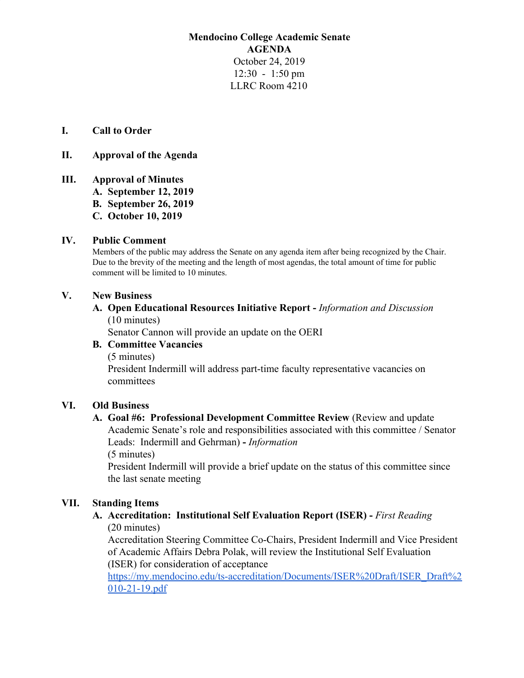## **Mendocino College Academic Senate AGENDA** October 24, 2019 12:30 - 1:50 pm LLRC Room 4210

#### **I. Call to Order**

#### **II. Approval of the Agenda**

**III. Approval of Minutes A. September 12, 2019 B. September 26, 2019 C. October 10, 2019**

#### **IV. Public Comment**

Members of the public may address the Senate on any agenda item after being recognized by the Chair. Due to the brevity of the meeting and the length of most agendas, the total amount of time for public comment will be limited to 10 minutes.

## **V. New Business**

#### **A. Open Educational Resources Initiative Report -** *Information and Discussion* (10 minutes)

Senator Cannon will provide an update on the OERI

## **B. Committee Vacancies**

(5 minutes) President Indermill will address part-time faculty representative vacancies on committees

#### **VI. Old Business**

## **A. Goal #6: Professional Development Committee Review** (Review and update Academic Senate's role and responsibilities associated with this committee / Senator Leads: Indermill and Gehrman) **-** *Information* (5 minutes)

President Indermill will provide a brief update on the status of this committee since the last senate meeting

#### **VII. Standing Items**

**A. Accreditation: Institutional Self Evaluation Report (ISER) -** *First Reading* (20 minutes)

Accreditation Steering Committee Co-Chairs, President Indermill and Vice President of Academic Affairs Debra Polak, will review the Institutional Self Evaluation (ISER) for consideration of acceptance

[https://my.mendocino.edu/ts-accreditation/Documents/ISER%20Draft/ISER\\_Draft%2](https://my.mendocino.edu/ts-accreditation/Documents/ISER%20Draft/ISER_Draft%2010-21-19.pdf) [010-21-19.pdf](https://my.mendocino.edu/ts-accreditation/Documents/ISER%20Draft/ISER_Draft%2010-21-19.pdf)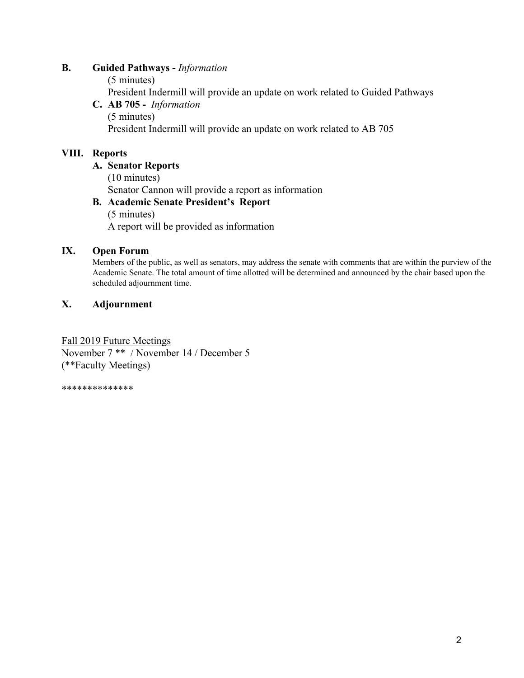## **B. Guided Pathways -** *Information*

(5 minutes) President Indermill will provide an update on work related to Guided Pathways **C. AB 705 -** *Information* (5 minutes) President Indermill will provide an update on work related to AB 705

# **VIII. Reports**

**A. Senator Reports** (10 minutes) Senator Cannon will provide a report as information **B. Academic Senate President's Report** (5 minutes)

A report will be provided as information

## **IX. Open Forum**

Members of the public, as well as senators, may address the senate with comments that are within the purview of the Academic Senate. The total amount of time allotted will be determined and announced by the chair based upon the scheduled adjournment time.

## **X. Adjournment**

Fall 2019 Future Meetings November 7 \*\* / November 14 / December 5 (\*\*Faculty Meetings)

\*\*\*\*\*\*\*\*\*\*\*\*\*\*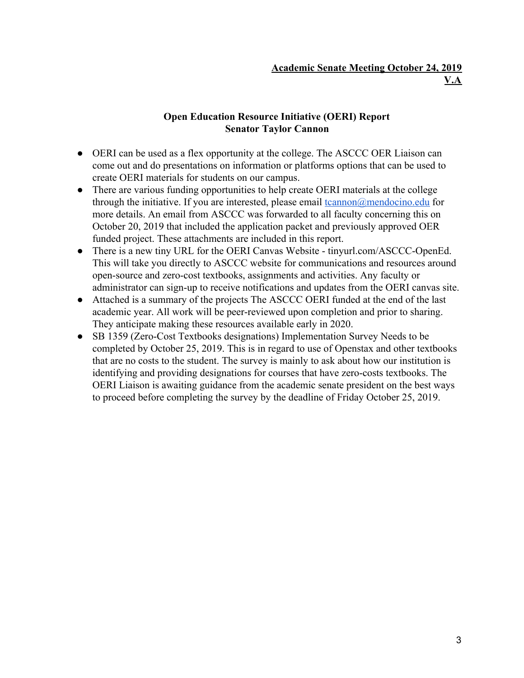# **Open Education Resource Initiative (OERI) Report Senator Taylor Cannon**

- OERI can be used as a flex opportunity at the college. The ASCCC OER Liaison can come out and do presentations on information or platforms options that can be used to create OERI materials for students on our campus.
- There are various funding opportunities to help create OERI materials at the college through the initiative. If you are interested, please email  $t$ cannon $\omega$ mendocino.edu for more details. An email from ASCCC was forwarded to all faculty concerning this on October 20, 2019 that included the application packet and previously approved OER funded project. These attachments are included in this report.
- There is a new tiny URL for the OERI Canvas Website tinyurl.com/ASCCC-OpenEd. This will take you directly to ASCCC website for communications and resources around open-source and zero-cost textbooks, assignments and activities. Any faculty or administrator can sign-up to receive notifications and updates from the OERI canvas site.
- Attached is a summary of the projects The ASCCC OERI funded at the end of the last academic year. All work will be peer-reviewed upon completion and prior to sharing. They anticipate making these resources available early in 2020.
- SB 1359 (Zero-Cost Textbooks designations) Implementation Survey Needs to be completed by October 25, 2019. This is in regard to use of Openstax and other textbooks that are no costs to the student. The survey is mainly to ask about how our institution is identifying and providing designations for courses that have zero-costs textbooks. The OERI Liaison is awaiting guidance from the academic senate president on the best ways to proceed before completing the survey by the deadline of Friday October 25, 2019.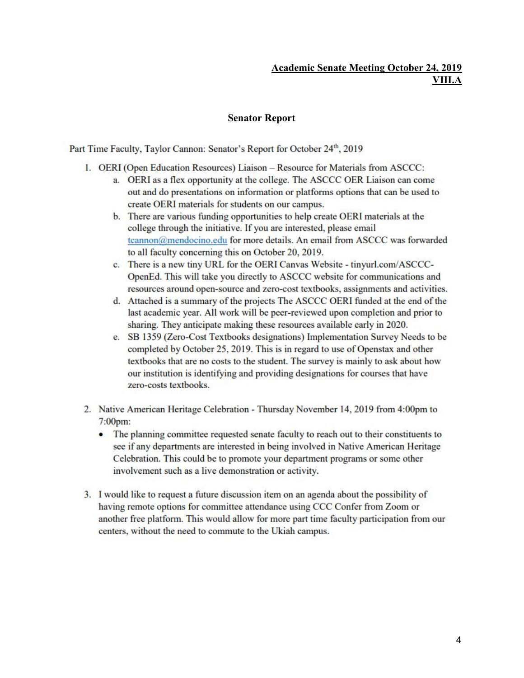## **Academic Senate Meeting October 24, 2019 VIII.A**

#### **Senator Report**

Part Time Faculty, Taylor Cannon: Senator's Report for October 24th, 2019

- 1. OERI (Open Education Resources) Liaison Resource for Materials from ASCCC:
	- a. OERI as a flex opportunity at the college. The ASCCC OER Liaison can come out and do presentations on information or platforms options that can be used to create OERI materials for students on our campus.
	- b. There are various funding opportunities to help create OERI materials at the college through the initiative. If you are interested, please email tcannon@mendocino.edu for more details. An email from ASCCC was forwarded to all faculty concerning this on October 20, 2019.
	- c. There is a new tiny URL for the OERI Canvas Website tinyurl.com/ASCCC-OpenEd. This will take you directly to ASCCC website for communications and resources around open-source and zero-cost textbooks, assignments and activities.
	- d. Attached is a summary of the projects The ASCCC OERI funded at the end of the last academic year. All work will be peer-reviewed upon completion and prior to sharing. They anticipate making these resources available early in 2020.
	- e. SB 1359 (Zero-Cost Textbooks designations) Implementation Survey Needs to be completed by October 25, 2019. This is in regard to use of Openstax and other textbooks that are no costs to the student. The survey is mainly to ask about how our institution is identifying and providing designations for courses that have zero-costs textbooks.
- 2. Native American Heritage Celebration Thursday November 14, 2019 from 4:00pm to  $7:00$ pm:
	- The planning committee requested senate faculty to reach out to their constituents to see if any departments are interested in being involved in Native American Heritage Celebration. This could be to promote your department programs or some other involvement such as a live demonstration or activity.
- 3. I would like to request a future discussion item on an agenda about the possibility of having remote options for committee attendance using CCC Confer from Zoom or another free platform. This would allow for more part time faculty participation from our centers, without the need to commute to the Ukiah campus.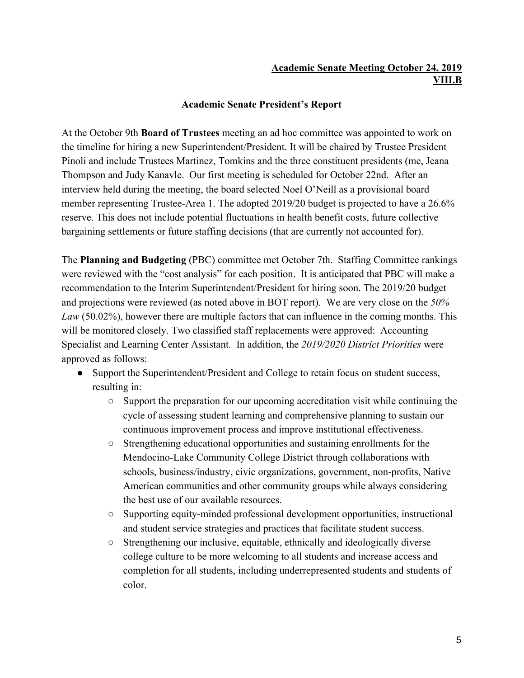# **Academic Senate Meeting October 24, 2019 VIII.B**

## **Academic Senate President's Report**

At the October 9th **Board of Trustees** meeting an ad hoc committee was appointed to work on the timeline for hiring a new Superintendent/President. It will be chaired by Trustee President Pinoli and include Trustees Martinez, Tomkins and the three constituent presidents (me, Jeana Thompson and Judy Kanavle. Our first meeting is scheduled for October 22nd. After an interview held during the meeting, the board selected Noel O'Neill as a provisional board member representing Trustee-Area 1. The adopted 2019/20 budget is projected to have a 26.6% reserve. This does not include potential fluctuations in health benefit costs, future collective bargaining settlements or future staffing decisions (that are currently not accounted for).

The **Planning and Budgeting** (PBC) committee met October 7th. Staffing Committee rankings were reviewed with the "cost analysis" for each position. It is anticipated that PBC will make a recommendation to the Interim Superintendent/President for hiring soon. The 2019/20 budget and projections were reviewed (as noted above in BOT report). We are very close on the *50% Law* (50.02%), however there are multiple factors that can influence in the coming months. This will be monitored closely. Two classified staff replacements were approved: Accounting Specialist and Learning Center Assistant. In addition, the *2019/2020 District Priorities* were approved as follows:

- Support the Superintendent/President and College to retain focus on student success, resulting in:
	- Support the preparation for our upcoming accreditation visit while continuing the cycle of assessing student learning and comprehensive planning to sustain our continuous improvement process and improve institutional effectiveness.
	- Strengthening educational opportunities and sustaining enrollments for the Mendocino-Lake Community College District through collaborations with schools, business/industry, civic organizations, government, non-profits, Native American communities and other community groups while always considering the best use of our available resources.
	- Supporting equity-minded professional development opportunities, instructional and student service strategies and practices that facilitate student success.
	- Strengthening our inclusive, equitable, ethnically and ideologically diverse college culture to be more welcoming to all students and increase access and completion for all students, including underrepresented students and students of color.